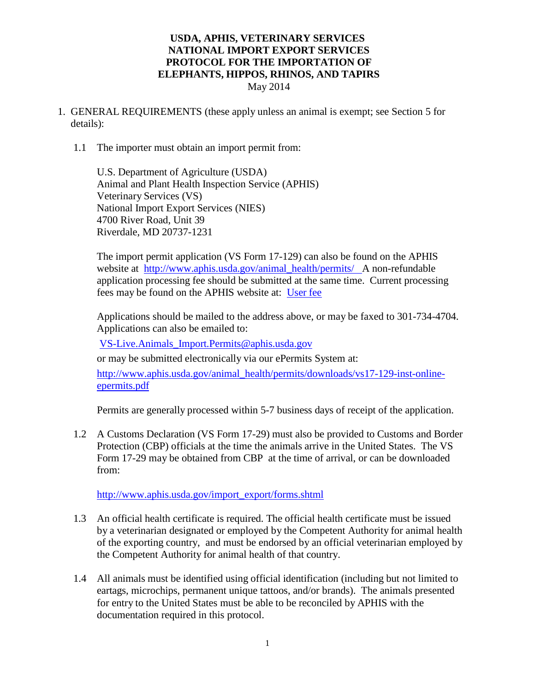- 1. GENERAL REQUIREMENTS (these apply unless an animal is exempt; see Section 5 for details):
	- 1.1 The importer must obtain an import permit from:

U.S. Department of Agriculture (USDA) Animal and Plant Health Inspection Service (APHIS) Veterinary Services (VS) National Import Export Services (NIES) 4700 River Road, Unit 39 Riverdale, MD 20737-1231

The import permit application (VS Form 17-129) can also be found on the APHIS website at [http://www.aphis.usda.gov/animal\\_health/permits/](http://www.aphis.usda.gov/animal_health/permits/) A non-refundable application processing fee should be submitted at the same time. Current processing fees may be found on the APHIS website at: [User fee](https://www.aphis.usda.gov/aphis/ourfocus/business-services/user_fees/user_fees)

Applications should be mailed to the address above, or may be faxed to 301-734-4704. Applications can also be emailed to:

[VS-Live.Animals\\_Import.Permits@aphis.usda.gov](mailto:VS-Live.Animals_Import.Permits@aphis.usda.gov)

or may be submitted electronically via our ePermits System at:

[http://www.aphis.usda.gov/animal\\_health/permits/downloads/vs17-129-inst-online](http://www.aphis.usda.gov/animal_health/permits/downloads/vs17-129-inst-online-epermits.pdf)[epermits.pdf](http://www.aphis.usda.gov/animal_health/permits/downloads/vs17-129-inst-online-epermits.pdf)

Permits are generally processed within 5-7 business days of receipt of the application.

1.2 A Customs Declaration (VS Form 17-29) must also be provided to Customs and Border Protection (CBP) officials at the time the animals arrive in the United States. The VS Form 17-29 may be obtained from CBP at the time of arrival, or can be downloaded from:

[http://www.aphis.usda.gov/import\\_export/forms.shtml](http://www.aphis.usda.gov/import_export/forms.shtml)

- 1.3 An official health certificate is required. The official health certificate must be issued by a veterinarian designated or employed by the Competent Authority for animal health of the exporting country, and must be endorsed by an official veterinarian employed by the Competent Authority for animal health of that country.
- 1.4 All animals must be identified using official identification (including but not limited to eartags, microchips, permanent unique tattoos, and/or brands). The animals presented for entry to the United States must be able to be reconciled by APHIS with the documentation required in this protocol.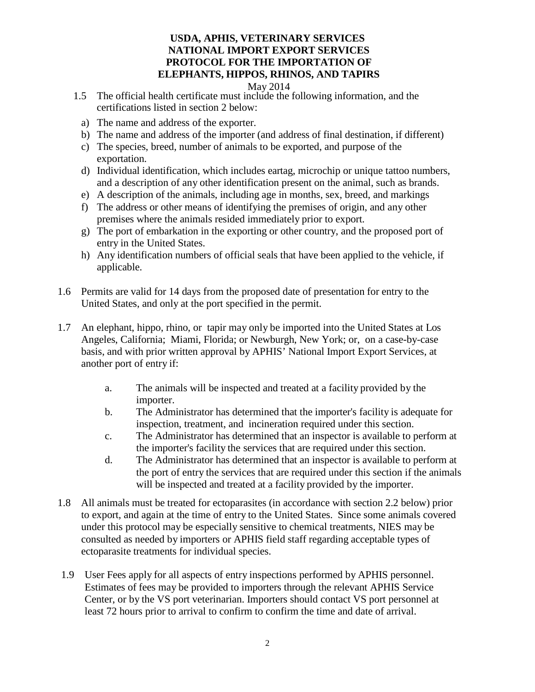#### May 2014

- 1.5 The official health certificate must include the following information, and the certifications listed in section 2 below:
	- a) The name and address of the exporter.
	- b) The name and address of the importer (and address of final destination, if different)
	- c) The species, breed, number of animals to be exported, and purpose of the exportation.
	- d) Individual identification, which includes eartag, microchip or unique tattoo numbers, and a description of any other identification present on the animal, such as brands.
	- e) A description of the animals, including age in months, sex, breed, and markings
	- f) The address or other means of identifying the premises of origin, and any other premises where the animals resided immediately prior to export.
	- g) The port of embarkation in the exporting or other country, and the proposed port of entry in the United States.
	- h) Any identification numbers of official seals that have been applied to the vehicle, if applicable.
- 1.6 Permits are valid for 14 days from the proposed date of presentation for entry to the United States, and only at the port specified in the permit.
- 1.7 An elephant, hippo, rhino, or tapir may only be imported into the United States at Los Angeles, California; Miami, Florida; or Newburgh, New York; or, on a case-by-case basis, and with prior written approval by APHIS' National Import Export Services, at another port of entry if:
	- a. The animals will be inspected and treated at a facility provided by the importer.
	- b. The Administrator has determined that the importer's facility is adequate for inspection, treatment, and incineration required under this section.
	- c. The Administrator has determined that an inspector is available to perform at the importer's facility the services that are required under this section.
	- d. The Administrator has determined that an inspector is available to perform at the port of entry the services that are required under this section if the animals will be inspected and treated at a facility provided by the importer.
- 1.8 All animals must be treated for ectoparasites (in accordance with section 2.2 below) prior to export, and again at the time of entry to the United States. Since some animals covered under this protocol may be especially sensitive to chemical treatments, NIES may be consulted as needed by importers or APHIS field staff regarding acceptable types of ectoparasite treatments for individual species.
- 1.9 User Fees apply for all aspects of entry inspections performed by APHIS personnel. Estimates of fees may be provided to importers through the relevant APHIS Service Center, or by the VS port veterinarian. Importers should contact VS port personnel at least 72 hours prior to arrival to confirm to confirm the time and date of arrival.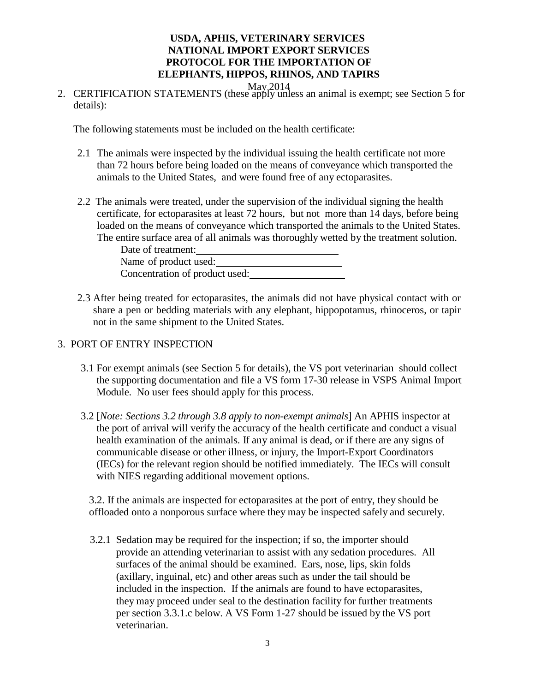- 
- May 2014<br>2. CERTIFICATION STATEMENTS (these apply unless an animal is exempt; see Section 5 for details):

The following statements must be included on the health certificate:

- 2.1 The animals were inspected by the individual issuing the health certificate not more than 72 hours before being loaded on the means of conveyance which transported the animals to the United States, and were found free of any ectoparasites.
- 2.2 The animals were treated, under the supervision of the individual signing the health certificate, for ectoparasites at least 72 hours, but not more than 14 days, before being loaded on the means of conveyance which transported the animals to the United States. The entire surface area of all animals was thoroughly wetted by the treatment solution.

- 2.3 After being treated for ectoparasites, the animals did not have physical contact with or share a pen or bedding materials with any elephant, hippopotamus, rhinoceros, or tapir not in the same shipment to the United States.
- 3. PORT OF ENTRY INSPECTION
	- 3.1 For exempt animals (see Section 5 for details), the VS port veterinarian should collect the supporting documentation and file a VS form 17-30 release in VSPS Animal Import Module. No user fees should apply for this process.
	- 3.2 [*Note: Sections 3.2 through 3.8 apply to non-exempt animals*] An APHIS inspector at the port of arrival will verify the accuracy of the health certificate and conduct a visual health examination of the animals. If any animal is dead, or if there are any signs of communicable disease or other illness, or injury, the Import-Export Coordinators (IECs) for the relevant region should be notified immediately. The IECs will consult with NIES regarding additional movement options.

3.2. If the animals are inspected for ectoparasites at the port of entry, they should be offloaded onto a nonporous surface where they may be inspected safely and securely.

3.2.1 Sedation may be required for the inspection; if so, the importer should provide an attending veterinarian to assist with any sedation procedures. All surfaces of the animal should be examined. Ears, nose, lips, skin folds (axillary, inguinal, etc) and other areas such as under the tail should be included in the inspection. If the animals are found to have ectoparasites, they may proceed under seal to the destination facility for further treatments per section 3.3.1.c below. A VS Form 1-27 should be issued by the VS port veterinarian.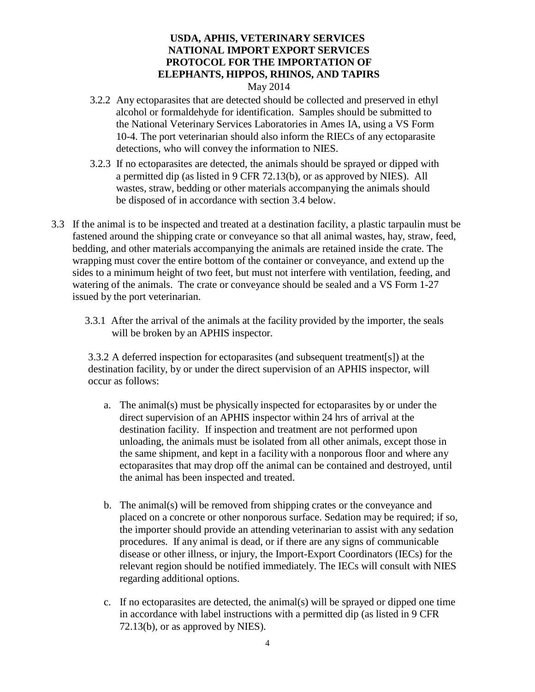- 3.2.2 Any ectoparasites that are detected should be collected and preserved in ethyl alcohol or formaldehyde for identification. Samples should be submitted to the National Veterinary Services Laboratories in Ames IA, using a VS Form 10-4. The port veterinarian should also inform the RIECs of any ectoparasite detections, who will convey the information to NIES.
- 3.2.3 If no ectoparasites are detected, the animals should be sprayed or dipped with a permitted dip (as listed in 9 CFR 72.13(b), or as approved by NIES). All wastes, straw, bedding or other materials accompanying the animals should be disposed of in accordance with section 3.4 below.
- 3.3 If the animal is to be inspected and treated at a destination facility, a plastic tarpaulin must be fastened around the shipping crate or conveyance so that all animal wastes, hay, straw, feed, bedding, and other materials accompanying the animals are retained inside the crate. The wrapping must cover the entire bottom of the container or conveyance, and extend up the sides to a minimum height of two feet, but must not interfere with ventilation, feeding, and watering of the animals. The crate or conveyance should be sealed and a VS Form 1-27 issued by the port veterinarian.
	- 3.3.1 After the arrival of the animals at the facility provided by the importer, the seals will be broken by an APHIS inspector.

3.3.2 A deferred inspection for ectoparasites (and subsequent treatment[s]) at the destination facility, by or under the direct supervision of an APHIS inspector, will occur as follows:

- a. The animal(s) must be physically inspected for ectoparasites by or under the direct supervision of an APHIS inspector within 24 hrs of arrival at the destination facility. If inspection and treatment are not performed upon unloading, the animals must be isolated from all other animals, except those in the same shipment, and kept in a facility with a nonporous floor and where any ectoparasites that may drop off the animal can be contained and destroyed, until the animal has been inspected and treated.
- b. The animal(s) will be removed from shipping crates or the conveyance and placed on a concrete or other nonporous surface. Sedation may be required; if so, the importer should provide an attending veterinarian to assist with any sedation procedures. If any animal is dead, or if there are any signs of communicable disease or other illness, or injury, the Import-Export Coordinators (IECs) for the relevant region should be notified immediately. The IECs will consult with NIES regarding additional options.
- c. If no ectoparasites are detected, the animal(s) will be sprayed or dipped one time in accordance with label instructions with a permitted dip (as listed in 9 CFR 72.13(b), or as approved by NIES).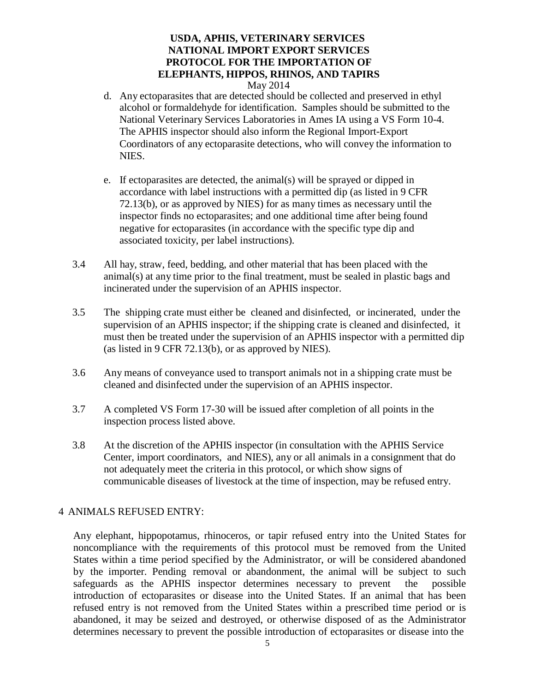- d. Any ectoparasites that are detected should be collected and preserved in ethyl alcohol or formaldehyde for identification. Samples should be submitted to the National Veterinary Services Laboratories in Ames IA using a VS Form 10-4. The APHIS inspector should also inform the Regional Import-Export Coordinators of any ectoparasite detections, who will convey the information to NIES.
- e. If ectoparasites are detected, the animal(s) will be sprayed or dipped in accordance with label instructions with a permitted dip (as listed in 9 CFR 72.13(b), or as approved by NIES) for as many times as necessary until the inspector finds no ectoparasites; and one additional time after being found negative for ectoparasites (in accordance with the specific type dip and associated toxicity, per label instructions).
- 3.4 All hay, straw, feed, bedding, and other material that has been placed with the animal(s) at any time prior to the final treatment, must be sealed in plastic bags and incinerated under the supervision of an APHIS inspector.
- 3.5 The shipping crate must either be cleaned and disinfected, or incinerated, under the supervision of an APHIS inspector; if the shipping crate is cleaned and disinfected, it must then be treated under the supervision of an APHIS inspector with a permitted dip (as listed in 9 CFR 72.13(b), or as approved by NIES).
- 3.6 Any means of conveyance used to transport animals not in a shipping crate must be cleaned and disinfected under the supervision of an APHIS inspector.
- 3.7 A completed VS Form 17-30 will be issued after completion of all points in the inspection process listed above.
- 3.8 At the discretion of the APHIS inspector (in consultation with the APHIS Service Center, import coordinators, and NIES), any or all animals in a consignment that do not adequately meet the criteria in this protocol, or which show signs of communicable diseases of livestock at the time of inspection, may be refused entry.

## 4 ANIMALS REFUSED ENTRY:

Any elephant, hippopotamus, rhinoceros, or tapir refused entry into the United States for noncompliance with the requirements of this protocol must be removed from the United States within a time period specified by the Administrator, or will be considered abandoned by the importer. Pending removal or abandonment, the animal will be subject to such safeguards as the APHIS inspector determines necessary to prevent the possible introduction of ectoparasites or disease into the United States. If an animal that has been refused entry is not removed from the United States within a prescribed time period or is abandoned, it may be seized and destroyed, or otherwise disposed of as the Administrator determines necessary to prevent the possible introduction of ectoparasites or disease into the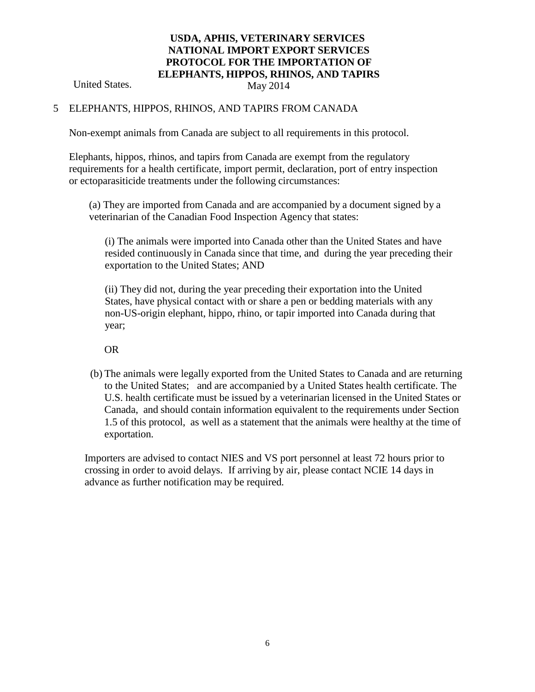United States. May 2014

#### 5 ELEPHANTS, HIPPOS, RHINOS, AND TAPIRS FROM CANADA

Non-exempt animals from Canada are subject to all requirements in this protocol.

Elephants, hippos, rhinos, and tapirs from Canada are exempt from the regulatory requirements for a health certificate, import permit, declaration, port of entry inspection or ectoparasiticide treatments under the following circumstances:

(a) They are imported from Canada and are accompanied by a document signed by a veterinarian of the Canadian Food Inspection Agency that states:

(i) The animals were imported into Canada other than the United States and have resided continuously in Canada since that time, and during the year preceding their exportation to the United States; AND

(ii) They did not, during the year preceding their exportation into the United States, have physical contact with or share a pen or bedding materials with any non-US-origin elephant, hippo, rhino, or tapir imported into Canada during that year;

OR

(b) The animals were legally exported from the United States to Canada and are returning to the United States; and are accompanied by a United States health certificate. The U.S. health certificate must be issued by a veterinarian licensed in the United States or Canada, and should contain information equivalent to the requirements under Section 1.5 of this protocol, as well as a statement that the animals were healthy at the time of exportation.

Importers are advised to contact NIES and VS port personnel at least 72 hours prior to crossing in order to avoid delays. If arriving by air, please contact NCIE 14 days in advance as further notification may be required.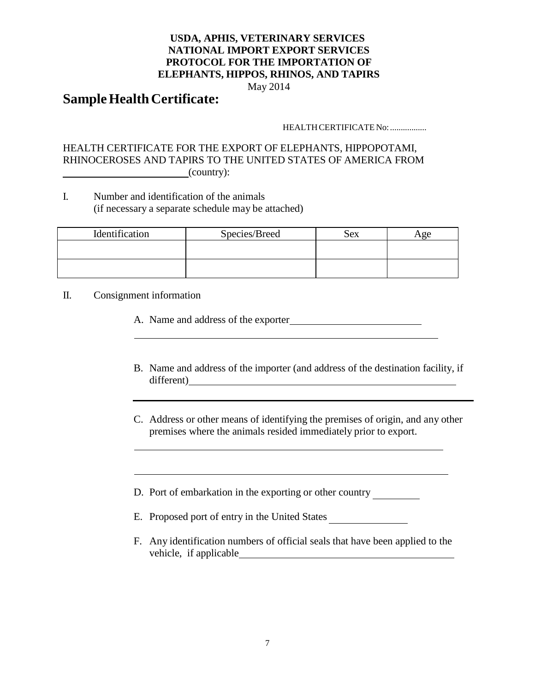May 2014

# **Sample Health Certificate:**

#### HEALTH CERTIFICATE No: .................

## HEALTH CERTIFICATE FOR THE EXPORT OF ELEPHANTS, HIPPOPOTAMI, RHINOCEROSES AND TAPIRS TO THE UNITED STATES OF AMERICA FROM  $\begin{array}{ccc} \hline \end{array}$  (country):

I. Number and identification of the animals (if necessary a separate schedule may be attached)

| Identification | Species/Breed | Sex | vge |
|----------------|---------------|-----|-----|
|                |               |     |     |
|                |               |     |     |

II. Consignment information

- A. Name and address of the exporter
- B. Name and address of the importer (and address of the destination facility, if different)
- C. Address or other means of identifying the premises of origin, and any other premises where the animals resided immediately prior to export.

<u> 1989 - Johann Barbara, martxa alemaniar a</u>

D. Port of embarkation in the exporting or other country

- E. Proposed port of entry in the United States
- F. Any identification numbers of official seals that have been applied to the vehicle, if applicable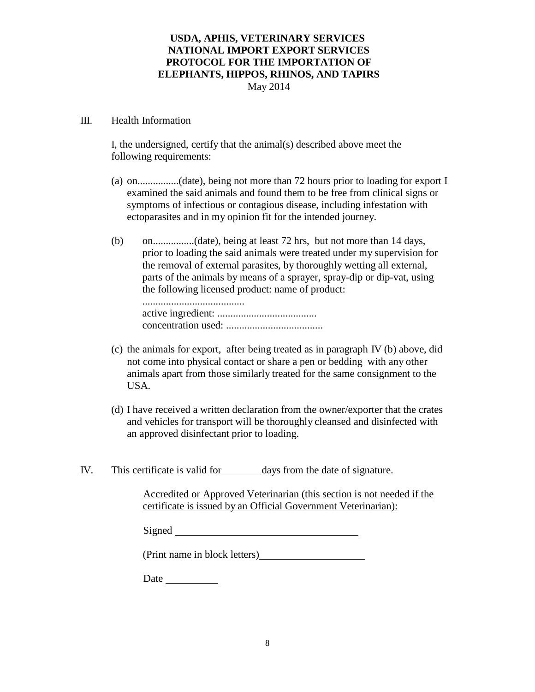#### III. Health Information

I, the undersigned, certify that the animal(s) described above meet the following requirements:

- (a) on................(date), being not more than 72 hours prior to loading for export I examined the said animals and found them to be free from clinical signs or symptoms of infectious or contagious disease, including infestation with ectoparasites and in my opinion fit for the intended journey.
- (b) on................(date), being at least 72 hrs, but not more than 14 days, prior to loading the said animals were treated under my supervision for the removal of external parasites, by thoroughly wetting all external, parts of the animals by means of a sprayer, spray-dip or dip-vat, using the following licensed product: name of product:

....................................... active ingredient: ...................................... concentration used: .....................................

- (c) the animals for export, after being treated as in paragraph IV (b) above, did not come into physical contact or share a pen or bedding with any other animals apart from those similarly treated for the same consignment to the USA.
- (d) I have received a written declaration from the owner/exporter that the crates and vehicles for transport will be thoroughly cleansed and disinfected with an approved disinfectant prior to loading.
- IV. This certificate is valid for days from the date of signature.

Accredited or Approved Veterinarian (this section is not needed if the certificate is issued by an Official Government Veterinarian):

| Signed |  |
|--------|--|
|        |  |

(Print name in block letters)

Date